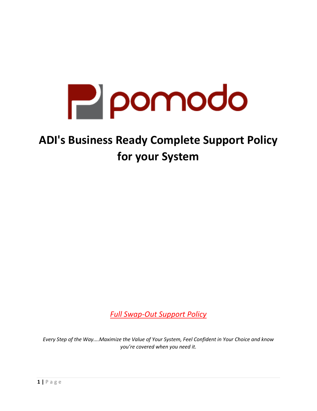

# **ADI's Business Ready Complete Support Policy for your System**

*Full Swap-Out Support Policy*

*Every Step of the Way....Maximize the Value of Your System, Feel Confident in Your Choice and know you're covered when you need it.*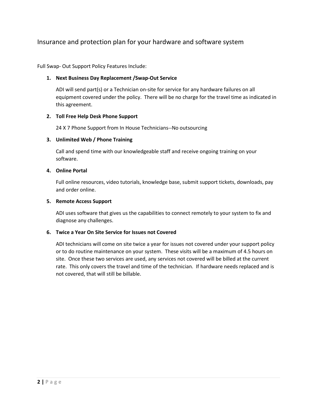# Insurance and protection plan for your hardware and software system

Full Swap- Out Support Policy Features Include:

#### **1. Next Business Day Replacement /Swap-Out Service**

ADI will send part(s) or a Technician on-site for service for any hardware failures on all equipment covered under the policy. There will be no charge for the travel time as indicated in this agreement.

#### **2. Toll Free Help Desk Phone Support**

24 X 7 Phone Support from In House Technicians--No outsourcing

#### **3. Unlimited Web / Phone Training**

Call and spend time with our knowledgeable staff and receive ongoing training on your software.

#### **4. Online Portal**

Full online resources, video tutorials, knowledge base, submit support tickets, downloads, pay and order online.

#### **5. Remote Access Support**

ADI uses software that gives us the capabilities to connect remotely to your system to fix and diagnose any challenges.

#### **6. Twice a Year On Site Service for Issues not Covered**

ADI technicians will come on site twice a year for issues not covered under your support policy or to do routine maintenance on your system. These visits will be a maximum of 4.5 hours on site. Once these two services are used, any services not covered will be billed at the current rate. This only covers the travel and time of the technician. If hardware needs replaced and is not covered, that will still be billable.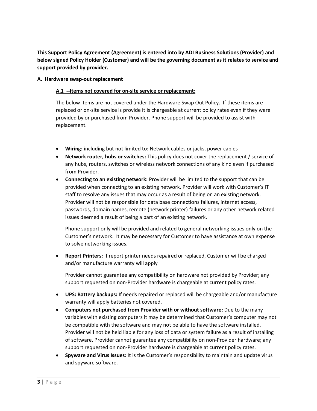**This Support Policy Agreement (Agreement) is entered into by ADI Business Solutions (Provider) and below signed Policy Holder (Customer) and will be the governing document as it relates to service and support provided by provider.**

#### **A. Hardware swap-out replacement**

#### **A.1 --Items not covered for on-site service or replacement:**

The below items are not covered under the Hardware Swap Out Policy. If these items are replaced or on-site service is provide it is chargeable at current policy rates even if they were provided by or purchased from Provider. Phone support will be provided to assist with replacement.

- **Wiring:** including but not limited to: Network cables or jacks, power cables
- **Network router, hubs or switches:** This policy does not cover the replacement / service of any hubs, routers, switches or wireless network connections of any kind even if purchased from Provider.
- **Connecting to an existing network:** Provider will be limited to the support that can be provided when connecting to an existing network. Provider will work with Customer's IT staff to resolve any issues that may occur as a result of being on an existing network. Provider will not be responsible for data base connections failures, internet access, passwords, domain names, remote (network printer) failures or any other network related issues deemed a result of being a part of an existing network.

Phone support only will be provided and related to general networking issues only on the Customer's network. It may be necessary for Customer to have assistance at own expense to solve networking issues.

• **Report Printers:** If report printer needs repaired or replaced, Customer will be charged and/or manufacture warranty will apply

Provider cannot guarantee any compatibility on hardware not provided by Provider; any support requested on non-Provider hardware is chargeable at current policy rates.

- **UPS: Battery backups:** If needs repaired or replaced will be chargeable and/or manufacture warranty will apply batteries not covered.
- **Computers not purchased from Provider with or without software:** Due to the many variables with existing computers it may be determined that Customer's computer may not be compatible with the software and may not be able to have the software installed. Provider will not be held liable for any loss of data or system failure as a result of installing of software. Provider cannot guarantee any compatibility on non-Provider hardware; any support requested on non-Provider hardware is chargeable at current policy rates.
- **Spyware and Virus Issues:** It is the Customer's responsibility to maintain and update virus and spyware software.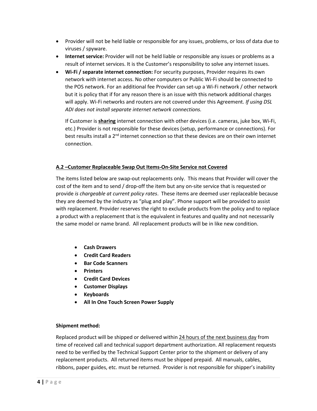- Provider will not be held liable or responsible for any issues, problems, or loss of data due to viruses / spyware.
- **Internet service:** Provider will not be held liable or responsible any issues or problems as a result of internet services. It is the Customer's responsibility to solve any internet issues.
- **Wi-Fi / separate internet connection:** For security purposes, Provider requires its own network with internet access. No other computers or Public Wi-Fi should be connected to the POS network. For an additional fee Provider can set-up a Wi-Fi network / other network but it is policy that if for any reason there is an issue with this network additional charges will apply. Wi-Fi networks and routers are not covered under this Agreement. *If using DSL ADI does not install separate internet network connections.*

If Customer is **sharing** internet connection with other devices (i.e. cameras, juke box, Wi-Fi, etc.) Provider is not responsible for these devices (setup, performance or connections). For best results install a 2<sup>nd</sup> internet connection so that these devices are on their own internet connection.

## **A.2 –Customer Replaceable Swap Out Items-On-Site Service not Covered**

The items listed below are swap-out replacements only. This means that Provider will cover the cost of the item and to send / drop-off the item but any on-site service that is requested or provide *is chargeable at current policy rates*. These items are deemed user replaceable because they are deemed by the industry as "plug and play". Phone support will be provided to assist with replacement. Provider reserves the right to exclude products from the policy and to replace a product with a replacement that is the equivalent in features and quality and not necessarily the same model or name brand. All replacement products will be in like new condition.

- **Cash Drawers**
- **Credit Card Readers**
- **Bar Code Scanners**
- **Printers**
- **Credit Card Devices**
- **Customer Displays**
- **Keyboards**
- **All In One Touch Screen Power Supply**

#### **Shipment method:**

Replaced product will be shipped or delivered within 24 hours of the next business day from time of received call and technical support department authorization. All replacement requests need to be verified by the Technical Support Center prior to the shipment or delivery of any replacement products. All returned items must be shipped prepaid. All manuals, cables, ribbons, paper guides, etc. must be returned. Provider is not responsible for shipper's inability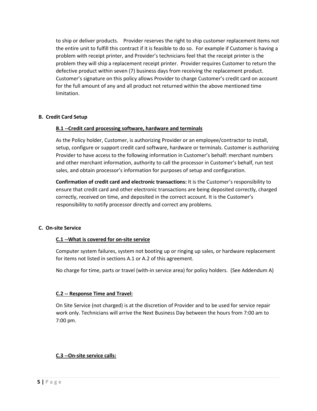to ship or deliver products. Provider reserves the right to ship customer replacement items not the entire unit to fulfill this contract if it is feasible to do so. For example if Customer is having a problem with receipt printer, and Provider's technicians feel that the receipt printer is the problem they will ship a replacement receipt printer. Provider requires Customer to return the defective product within seven (7) business days from receiving the replacement product. Customer's signature on this policy allows Provider to charge Customer's credit card on account for the full amount of any and all product not returned within the above mentioned time limitation.

#### **B. Credit Card Setup**

#### **B.1 --Credit card processing software, hardware and terminals**

As the Policy holder, Customer, is authorizing Provider or an employee/contractor to install, setup, configure or support credit card software, hardware or terminals. Customer is authorizing Provider to have access to the following information in Customer's behalf: merchant numbers and other merchant information, authority to call the processor in Customer's behalf, run test sales, and obtain processor's information for purposes of setup and configuration.

**Confirmation of credit card and electronic transactions:** It is the Customer's responsibility to ensure that credit card and other electronic transactions are being deposited correctly, charged correctly, received on time, and deposited in the correct account. It is the Customer's responsibility to notify processor directly and correct any problems.

#### **C. On-site Service**

#### **C.1 --What is covered for on-site service**

Computer system failures, system not booting up or ringing up sales, or hardware replacement for items not listed in sections A.1 or A.2 of this agreement.

No charge for time, parts or travel (with-in service area) for policy holders. (See Addendum A)

#### **C.2 -- Response Time and Travel:**

On Site Service (not charged) is at the discretion of Provider and to be used for service repair work only. Technicians will arrive the Next Business Day between the hours from 7:00 am to 7:00 pm.

## **C.3 --On-site service calls:**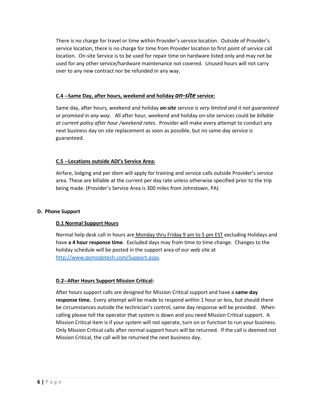There is no charge for travel or time within Provider's service location. Outside of Provider's service location, there is no charge for time from Provider location to first point of service call location. On-site Service is to be used for repair time on hardware listed only and may not be used for any other service/hardware maintenance not covered. Unused hours will not carry over to any new contract nor be refunded in any way.

## **C.4 --Same Day, after hours, weekend and holiday** *on-site* **service:**

Same day, after hours, weekend and holiday *on-site* service *is very limited and it not guaranteed or promised in any way*. All after hour, weekend and holiday on-site services could be *billable at current policy after hour /weekend rates*. Provider will make every attempt to conduct any next business day on site replacement as soon as possible, but no same day service is guaranteed.

#### **C.5 --Locations outside ADI's Service Area:**

Airfare, lodging and per diem will apply for training and service calls outside Provider's service area. These are billable at the current per day rate unless otherwise specified prior to the trip being made. (Provider's Service Area is 300 miles from Johnstown, PA)

#### **D. Phone Support**

## **D.1 Normal Support Hours**

Normal help desk call in hours are Monday thru Friday 9 am to 5 pm EST excluding Holidays and have **a 4 hour response time**. Excluded days may from time to time change. Changes to the holiday schedule will be posted in the support area of our web site at [http://www.pomodotech.com/Support.aspx.](http://www.pomodotech.com/Support.aspx)

#### **D.2--After Hours Support Mission Critical:**

After hours support calls are designed for Mission Critical support and have a **same day response time.** Every attempt will be made to respond within 1 hour or less, but should there be circumstances outside the technician's control, same day response will be provided. When calling please tell the operator that system is down and you need Mission Critical support. A Mission Critical item is if your system will not operate, turn on or function to run your business. Only Mission Critical calls after normal support hours will be returned. If the call is deemed not Mission Critical, the call will be returned the next business day.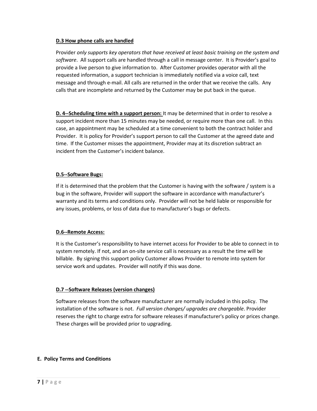#### **D.3 How phone calls are handled**

Provider *only supports key operators that have received at least basic training on the system and software*. All support calls are handled through a call in message center. It is Provider's goal to provide a live person to give information to. After Customer provides operator with all the requested information, a support technician is immediately notified via a voice call, text message and through e-mail. All calls are returned in the order that we receive the calls. Any calls that are incomplete and returned by the Customer may be put back in the queue.

**D. 4--Scheduling time with a support person:** It may be determined that in order to resolve a support incident more than 15 minutes may be needed, or require more than one call. In this case, an appointment may be scheduled at a time convenient to both the contract holder and Provider. It is policy for Provider's support person to call the Customer at the agreed date and time. If the Customer misses the appointment, Provider may at its discretion subtract an incident from the Customer's incident balance.

## **D.5--Software Bugs:**

If it is determined that the problem that the Customer is having with the software / system is a bug in the software, Provider will support the software in accordance with manufacturer's warranty and its terms and conditions only. Provider will not be held liable or responsible for any issues, problems, or loss of data due to manufacturer's bugs or defects.

## **D.6--Remote Access:**

It is the Customer's responsibility to have internet access for Provider to be able to connect in to system remotely. If not, and an on-site service call is necessary as a result the time will be billable. By signing this support policy Customer allows Provider to remote into system for service work and updates. Provider will notify if this was done.

# **D.7 --Software Releases (version changes)**

Software releases from the software manufacturer are normally included in this policy. The installation of the software is not. *Full version changes/ upgrades are chargeable*. Provider reserves the right to charge extra for software releases if manufacturer's policy or prices change. These charges will be provided prior to upgrading.

## **E. Policy Terms and Conditions**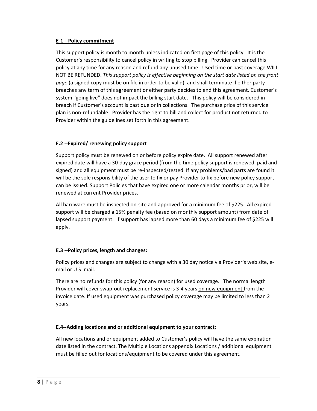#### **E-1 --Policy commitment**

This support policy is month to month unless indicated on first page of this policy. It is the Customer's responsibility to cancel policy in writing to stop billing. Provider can cancel this policy at any time for any reason and refund any unused time. Used time or past coverage WILL NOT BE REFUNDED. *This support policy is effective beginning on the start date listed on the front page* (a signed copy must be on file in order to be valid), and shall terminate if either party breaches any term of this agreement or either party decides to end this agreement. Customer's system "going live" does not impact the billing start date. This policy will be considered in breach if Customer's account is past due or in collections. The purchase price of this service plan is non-refundable. Provider has the right to bill and collect for product not returned to Provider within the guidelines set forth in this agreement.

## **E.2 --Expired/ renewing policy support**

Support policy must be renewed on or before policy expire date. All support renewed after expired date will have a 30-day grace period (from the time policy support is renewed, paid and signed) and all equipment must be re-inspected/tested. If any problems/bad parts are found it will be the sole responsibility of the user to fix or pay Provider to fix before new policy support can be issued. Support Policies that have expired one or more calendar months prior, will be renewed at current Provider prices.

All hardware must be inspected on-site and approved for a minimum fee of \$225. All expired support will be charged a 15% penalty fee (based on monthly support amount) from date of lapsed support payment. If support has lapsed more than 60 days a minimum fee of \$225 will apply.

## **E.3 --Policy prices, length and changes:**

Policy prices and changes are subject to change with a 30 day notice via Provider's web site, email or U.S. mail.

There are no refunds for this policy (for any reason) for used coverage. The normal length Provider will cover swap-out replacement service is 3-4 years on new equipment from the invoice date. If used equipment was purchased policy coverage may be limited to less than 2 years.

# **E.4--Adding locations and or additional equipment to your contract:**

All new locations and or equipment added to Customer's policy will have the same expiration date listed in the contract. The Multiple Locations appendix Locations / additional equipment must be filled out for locations/equipment to be covered under this agreement.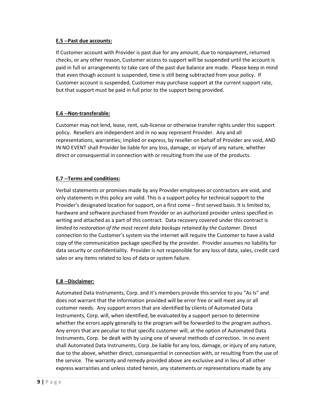#### **E.5 --Past due accounts:**

If Customer account with Provider is past due for any amount, due to nonpayment, returned checks, or any other reason, Customer access to support will be suspended until the account is paid in full or arrangements to take care of the past due balance are made. Please keep in mind that even though account is suspended, time is still being subtracted from your policy. If Customer account is suspended, Customer may purchase support at the current support rate, but that support must be paid in full prior to the support being provided.

#### **E.6 --Non-transferable:**

Customer may not lend, lease, rent, sub-license or otherwise transfer rights under this support policy. Resellers are independent and in no way represent Provider. Any and all representations, warranties; implied or express, by reseller on behalf of Provider are void, AND IN NO EVENT shall Provider be liable for any loss, damage, or injury of any nature, whether direct or consequential in connection with or resulting from the use of the products.

## **E.7 --Terms and conditions:**

Verbal statements or promises made by any Provider employees or contractors are void, and only statements in this policy are valid. This is a support policy for technical support to the Provider's designated location for support, on a first come – first served basis. It is limited to, hardware and software purchased from Provider or an authorized provider unless specified in writing and attached as a part of this contract. Data recovery covered under this contract is *limited to restoration of the most recent data backups retained by the Customer*. Direct connection to the Customer's system via the internet will require the Customer to have a valid copy of the communication package specified by the provider. Provider assumes no liability for data security or confidentiality. Provider is not responsible for any loss of data, sales, credit card sales or any items related to loss of data or system failure.

## **E.8 --Disclaimer:**

Automated Data Instruments, Corp. and it's members provide this service to you "As Is" and does not warrant that the information provided will be error free or will meet any or all customer needs. Any support errors that are identified by clients of Automated Data Instruments, Corp. will, when identified, be evaluated by a support person to determine whether the errors apply generally to the program will be forwarded to the program authors. Any errors that are peculiar to that specific customer will, at the option of Automated Data Instruments, Corp. be dealt with by using one of several methods of correction. In no event shall Automated Data Instruments, Corp .be liable for any loss, damage, or injury of any nature, due to the above, whether direct, consequential in connection with, or resulting from the use of the service. The warranty and remedy provided above are exclusive and in lieu of all other express warranties and unless stated herein, any statements or representations made by any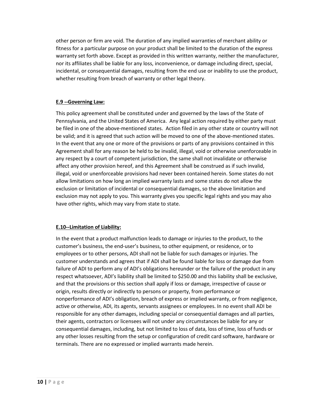other person or firm are void. The duration of any implied warranties of merchant ability or fitness for a particular purpose on your product shall be limited to the duration of the express warranty set forth above. Except as provided in this written warranty, neither the manufacturer, nor its affiliates shall be liable for any loss, inconvenience, or damage including direct, special, incidental, or consequential damages, resulting from the end use or inability to use the product, whether resulting from breach of warranty or other legal theory.

## **E.9 --Governing Law:**

This policy agreement shall be constituted under and governed by the laws of the State of Pennsylvania, and the United States of America. Any legal action required by either party must be filed in one of the above-mentioned states. Action filed in any other state or country will not be valid; and it is agreed that such action will be moved to one of the above-mentioned states. In the event that any one or more of the provisions or parts of any provisions contained in this Agreement shall for any reason be held to be invalid, illegal, void or otherwise unenforceable in any respect by a court of competent jurisdiction, the same shall not invalidate or otherwise affect any other provision hereof, and this Agreement shall be construed as if such invalid, illegal, void or unenforceable provisions had never been contained herein. Some states do not allow limitations on how long an implied warranty lasts and some states do not allow the exclusion or limitation of incidental or consequential damages, so the above limitation and exclusion may not apply to you. This warranty gives you specific legal rights and you may also have other rights, which may vary from state to state.

## **E.10--Limitation of Liability:**

In the event that a product malfunction leads to damage or injuries to the product, to the customer's business, the end-user's business, to other equipment, or residence, or to employees or to other persons, ADI shall not be liable for such damages or injuries. The customer understands and agrees that if ADI shall be found liable for loss or damage due from failure of ADI to perform any of ADI's obligations hereunder or the failure of the product in any respect whatsoever, ADI's liability shall be limited to \$250.00 and this liability shall be exclusive, and that the provisions or this section shall apply if loss or damage, irrespective of cause or origin, results directly or indirectly to persons or property, from performance or nonperformance of ADI's obligation, breach of express or implied warranty, or from negligence, active or otherwise, ADI, its agents, servants assignees or employees. In no event shall ADI be responsible for any other damages, including special or consequential damages and all parties, their agents, contractors or licensees will not under any circumstances be liable for any or consequential damages, including, but not limited to loss of data, loss of time, loss of funds or any other losses resulting from the setup or configuration of credit card software, hardware or terminals. There are no expressed or implied warrants made herein.